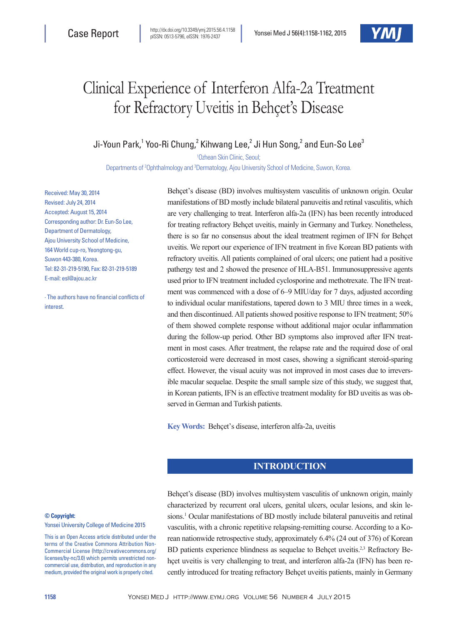# Clinical Experience of Interferon Alfa-2a Treatment for Refractory Uveitis in Behçet's Disease

## Ji-Youn Park, $^1$  Yoo-Ri Chung, $^2$  Kihwang Lee, $^2$  Ji Hun Song, $^2$  and Eun-So Lee $^3$

1 Ozhean Skin Clinic, Seoul;

Departments of <sup>2</sup>Ophthalmology and <sup>3</sup>Dermatology, Ajou University School of Medicine, Suwon, Korea.

Received: May 30, 2014 Revised: July 24, 2014 Accepted: August 15, 2014 Corresponding author: Dr. Eun-So Lee, Department of Dermatology, Ajou University School of Medicine, 164 World cup-ro, Yeongtong-gu, Suwon 443-380, Korea. Tel: 82-31-219-5190, Fax: 82-31-219-5189 E-mail: esl@ajou.ac.kr

∙ The authors have no financial conflicts of interest.

Behçet's disease (BD) involves multisystem vasculitis of unknown origin. Ocular manifestations of BD mostly include bilateral panuveitis and retinal vasculitis, which are very challenging to treat. Interferon alfa-2a (IFN) has been recently introduced for treating refractory Behçet uveitis, mainly in Germany and Turkey. Nonetheless, there is so far no consensus about the ideal treatment regimen of IFN for Behçet uveitis. We report our experience of IFN treatment in five Korean BD patients with refractory uveitis. All patients complained of oral ulcers; one patient had a positive pathergy test and 2 showed the presence of HLA-B51. Immunosuppressive agents used prior to IFN treatment included cyclosporine and methotrexate. The IFN treatment was commenced with a dose of 6–9 MIU/day for 7 days, adjusted according to individual ocular manifestations, tapered down to 3 MIU three times in a week, and then discontinued. All patients showed positive response to IFN treatment; 50% of them showed complete response without additional major ocular inflammation during the follow-up period. Other BD symptoms also improved after IFN treatment in most cases. After treatment, the relapse rate and the required dose of oral corticosteroid were decreased in most cases, showing a significant steroid-sparing effect. However, the visual acuity was not improved in most cases due to irreversible macular sequelae. Despite the small sample size of this study, we suggest that, in Korean patients, IFN is an effective treatment modality for BD uveitis as was observed in German and Turkish patients.

**Key Words:** Behçet's disease, interferon alfa-2a, uveitis

#### **INTRODUCTION**

Behçet's disease (BD) involves multisystem vasculitis of unknown origin, mainly characterized by recurrent oral ulcers, genital ulcers, ocular lesions, and skin lesions.<sup>1</sup> Ocular manifestations of BD mostly include bilateral panuveitis and retinal vasculitis, with a chronic repetitive relapsing-remitting course. According to a Korean nationwide retrospective study, approximately 6.4% (24 out of 376) of Korean BD patients experience blindness as sequelae to Behçet uveitis.<sup>2,3</sup> Refractory Behçet uveitis is very challenging to treat, and interferon alfa-2a (IFN) has been recently introduced for treating refractory Behçet uveitis patients, mainly in Germany

#### **© Copyright:**

Yonsei University College of Medicine 2015

This is an Open Access article distributed under the terms of the Creative Commons Attribution Non-Commercial License (http://creativecommons.org/ licenses/by-nc/3.0) which permits unrestricted noncommercial use, distribution, and reproduction in any medium, provided the original work is properly cited.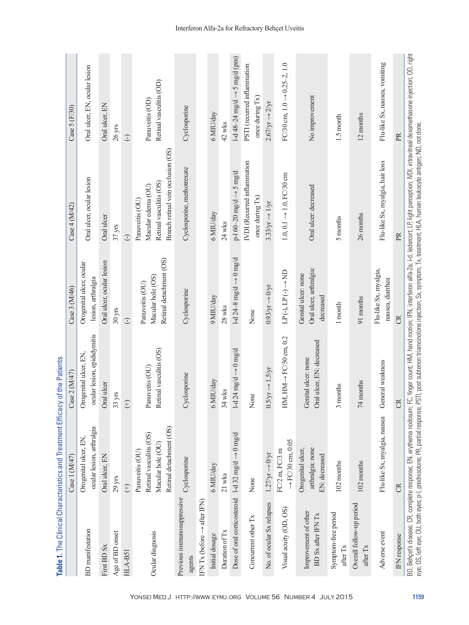| Table 1. The Clinical Characteristics and Treatment Efficacy of the Patients                                                                                                                    |                                                                                            |                                                     |                                                                        |                                                                                                                                                           |                                                      |
|-------------------------------------------------------------------------------------------------------------------------------------------------------------------------------------------------|--------------------------------------------------------------------------------------------|-----------------------------------------------------|------------------------------------------------------------------------|-----------------------------------------------------------------------------------------------------------------------------------------------------------|------------------------------------------------------|
|                                                                                                                                                                                                 | Case 1 (M/47)                                                                              | Case 2 (M/47)                                       | Case 3 (M/46)                                                          | Case 4 (M/42)                                                                                                                                             | Case 5 $(F/30)$                                      |
| <b>BD</b> manifestation                                                                                                                                                                         | ocular lesion, arthralgia<br>Orogenital ulcer, EN,                                         | ocular lesion, epididymitis<br>Orogenital ulcer, EN | Orogenital ulcer, ocular<br>lesion, arthralgia                         | Oral ulcer, ocular lesion                                                                                                                                 | Oral ulcer, EN, ocular lesion                        |
| First BD Sx                                                                                                                                                                                     | Oral ulcer, EN                                                                             | Oral ulcer                                          | Oral ulcer, ocular lesion                                              | Oral ulcer                                                                                                                                                | Oral ulcer, EN                                       |
| Age of BD onset                                                                                                                                                                                 | $29 \text{ yrs}$                                                                           | 33 yrs                                              | $30 \text{ yrs}$                                                       | 37 yrs                                                                                                                                                    | $26$ yrs                                             |
| HLA-B51                                                                                                                                                                                         | $\widehat{+}$                                                                              | $\widehat{+}$                                       | $\bigodot$                                                             | $\bigodot$                                                                                                                                                | $\bigcirc$                                           |
| Ocular diagnosis                                                                                                                                                                                | Retinal detachment (OS)<br>Retinal vasculitis (OS)<br>Macular hole (OU)<br>Panuveitis (OU) | Retinal vasculitis (OS)<br>Panuveitis (OU)          | Retinal detachment (OS)<br>Macular hole (OS)<br>Panuveitis (OU)        | Branch retinal vein occlusion (OS)<br>Retinal vasculitis (OS)<br>Macular edema (OU)<br>Panuveitis (OU)                                                    | Retinal vasculitis (OD)<br>Panuveitis (OD)           |
| Previous immunosuppressive<br>agents                                                                                                                                                            | Cyclosporine                                                                               | <b>Cyclosporine</b>                                 | Cyclosporine                                                           | Cyclosporine, methotrexate                                                                                                                                | Cyclosporine                                         |
| IFN Tx (before $\rightarrow$ after IFN)                                                                                                                                                         |                                                                                            |                                                     |                                                                        |                                                                                                                                                           |                                                      |
| Initial dosage                                                                                                                                                                                  | 6 MIU/day                                                                                  | 5 MIU/day                                           | 9 MIU/day                                                              | 6 MIU/day                                                                                                                                                 | 6 MIU/day                                            |
| Duration of Tx                                                                                                                                                                                  | $21$ wks                                                                                   | 34 wks                                              | $28$ wks                                                               | 24 wks                                                                                                                                                    | 42 wks                                               |
| Dose of oral corticosteroid 1-d 32 mg/d $\rightarrow$ 0 mg/d                                                                                                                                    |                                                                                            | $-d$ 24 mg/d $\rightarrow$ 0 mg/d                   | $1- d$ 24-8 mg/d $\rightarrow 0$ mg/d                                  | $p-160-20$ mg/d $\rightarrow$ 5 mg/d                                                                                                                      | $1 - d \cdot 48 - 24$ mg/d $\rightarrow$ 5 mg/d (pm) |
| Concurrent other Tx                                                                                                                                                                             | None                                                                                       | None                                                | None                                                                   | IVDI (Recurred inflammation<br>once during Tx)                                                                                                            | PSTI (recurred inflammation<br>once during $Tx$ )    |
| No. of ocular Sx relapses                                                                                                                                                                       | $1.27/yr \rightarrow 0/yr$                                                                 | $0.5/\text{yr} \rightarrow 1.5/\text{yr}$           | $0.93$ /yr $\rightarrow$ 0/yr                                          | $3.33/yr \rightarrow 1/yr$                                                                                                                                | $2.67$ /yr $\rightarrow$ 2/yr                        |
| Visual acuity (OD, OS)                                                                                                                                                                          | $\rightarrow$ FC/30 cm, 0.05<br>FC/2 m, FC/3 m                                             | $HM$ , HM $\rightarrow$ FC/50 cm, 0.2               | $\mathrm{LP}(\text{-}), \mathrm{LP}(\text{-}) \rightarrow \mathrm{ND}$ | $1.0, 0.1 \rightarrow 1.0, FC30 \text{ cm}$                                                                                                               | FC/30 cm, $1.0 \rightarrow 0.25-2$ , $1.0$           |
| Improvement of other<br>BD Sx after IFN Tx                                                                                                                                                      | arthralgia: none<br>Orogenital ulcer,<br>EN: decreased                                     | Oral ulcer, EN: decreased<br>Genital ulcer: none    | Oral ulcer, arthralgia:<br>Genital ulcer: none<br>decreased            | Oral ulcer: decreased                                                                                                                                     | No improvement                                       |
| Symptom-free period<br>after Tx                                                                                                                                                                 | 102 months                                                                                 | 3 months                                            | 1 month                                                                | 5 months                                                                                                                                                  | $1.5$ month                                          |
| Overall follow-up period<br>after Tx                                                                                                                                                            | 102 months                                                                                 | 74 months                                           | 91 months                                                              | 26 months                                                                                                                                                 | 12 months                                            |
| Adverse event                                                                                                                                                                                   | Flu-like Sx, myalgia, nausea                                                               | General weakness                                    | Flu-like Sx, myalgia,<br>nausea, diarrhea                              | Flu-like Sx, myalgia, hair loss                                                                                                                           | Flu-like Sx, nausea, vomiting                        |
| IFN response                                                                                                                                                                                    | g                                                                                          | $\widetilde{\mathbb{C}}$                            | B                                                                      | PR                                                                                                                                                        | PR                                                   |
| eye; OS, left eye; OU, both eyes; p-I, prednisolone; PR, partial response; PSTI, post subtenon triamcinolone injection; Sx, symptom; Tx, treatment; HLA, human leukocyte antigen; ND, not done. | BD, Behçet's disease; CR, complete response; EN, erythema nodosum;                         |                                                     |                                                                        | , FC, finger count; HM, hand motion; IFN, interferon alfa-2a; I-d, ledercort; LP, light perception; IVDI, intravitreal dexamethasone injection; OD, right |                                                      |

#### Interferon Alfa-2a for Refractory Behçet Uveitis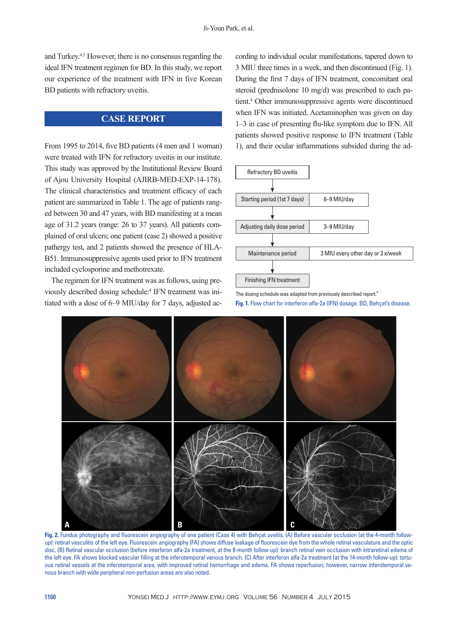and Turkey.4,5 However, there is no consensus regarding the ideal IFN treatment regimen for BD. In this study, we report our experience of the treatment with IFN in five Korean BD patients with refractory uveitis.

### **CASE REPORT**

From 1995 to 2014, five BD patients (4 men and 1 woman) were treated with IFN for refractory uveitis in our institute. This study was approved by the Institutional Review Board of Ajou University Hospital (AJIRB-MED-EXP-14-178). The clinical characteristics and treatment efficacy of each patient are summarized in Table 1. The age of patients ranged between 30 and 47 years, with BD manifesting at a mean age of 31.2 years (range: 26 to 37 years). All patients complained of oral ulcers; one patient (case 2) showed a positive pathergy test, and 2 patients showed the presence of HLA-B51. Immunosuppressive agents used prior to IFN treatment included cyclosporine and methotrexate.

The regimen for IFN treatment was as follows, using previously described dosing schedule:<sup>4</sup> IFN treatment was initiated with a dose of 6–9 MIU/day for 7 days, adjusted according to individual ocular manifestations, tapered down to 3 MIU three times in a week, and then discontinued (Fig. 1). During the first 7 days of IFN treatment, concomitant oral steroid (prednisolone 10 mg/d) was prescribed to each patient.4 Other immunosuppressive agents were discontinued when IFN was initiated. Acetaminophen was given on day 1‒3 in case of presenting flu-like symptom due to IFN. All patients showed positive response to IFN treatment (Table 1), and their ocular inflammations subsided during the ad-



The dosing schedule was adapted from previously described report.<sup>4</sup> **Fig. 1.** Flow chart for interferon alfa-2a (IFN) dosage. BD, Behçet's disease.



**Fig. 2.** Fundus photography and fluorescein angiography of one patient (Case 4) with Behçet uveitis. (A) Before vascular occlusion (at the 4-month followup): retinal vasculitis of the left eye. Fluorescein angiography (FA) shows diffuse leakage of fluorescein dye from the whole retinal vasculature and the optic disc. (B) Retinal vascular occlusion (before interferon alfa-2a treatment, at the 8-month follow-up): branch retinal vein occlusion with intraretinal edema of the left eye. FA shows blocked vascular filling at the inferotemporal venous branch. (C) After interferon alfa-2a treatment (at the 14-month follow-up): tortuous retinal vessels at the inferotemporal area, with improved retinal hemorrhage and edema. FA shows reperfusion; however, narrow inferotemporal venous branch with wide peripheral non-perfusion areas are also noted.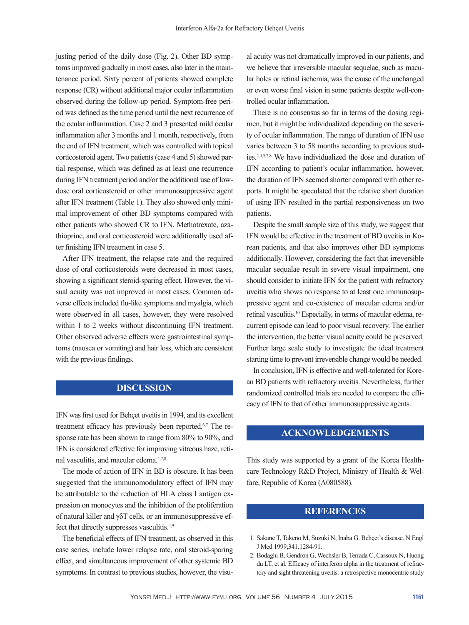justing period of the daily dose (Fig. 2). Other BD symptoms improved gradually in most cases, also later in the maintenance period. Sixty percent of patients showed complete response (CR) without additional major ocular inflammation observed during the follow-up period. Symptom-free period was defined as the time period until the next recurrence of the ocular inflammation. Case 2 and 3 presented mild ocular inflammation after 3 months and 1 month, respectively, from the end of IFN treatment, which was controlled with topical corticosteroid agent. Two patients (case 4 and 5) showed partial response, which was defined as at least one recurrence during IFN treatment period and/or the additional use of lowdose oral corticosteroid or other immunosuppressive agent after IFN treatment (Table 1). They also showed only minimal improvement of other BD symptoms compared with other patients who showed CR to IFN. Methotrexate, azathioprine, and oral corticosteroid were additionally used after finishing IFN treatment in case 5.

After IFN treatment, the relapse rate and the required dose of oral corticosteroids were decreased in most cases, showing a significant steroid-sparing effect. However, the visual acuity was not improved in most cases. Common adverse effects included flu-like symptoms and myalgia, which were observed in all cases, however, they were resolved within 1 to 2 weeks without discontinuing IFN treatment. Other observed adverse effects were gastrointestinal symptoms (nausea or vomiting) and hair loss, which are consistent with the previous findings.

#### **DISCUSSION**

IFN was first used for Behçet uveitis in 1994, and its excellent treatment efficacy has previously been reported.<sup>6,7</sup> The response rate has been shown to range from 80% to 90%, and IFN is considered effective for improving vitreous haze, retinal vasculitis, and macular edema.4,7,8

The mode of action of IFN in BD is obscure. It has been suggested that the immunomodulatory effect of IFN may be attributable to the reduction of HLA class I antigen expression on monocytes and the inhibition of the proliferation of natural killer and γδT cells, or an immunosuppressive effect that directly suppresses vasculitis.4,9

The beneficial effects of IFN treatment, as observed in this case series, include lower relapse rate, oral steroid-sparing effect, and simultaneous improvement of other systemic BD symptoms. In contrast to previous studies, however, the visual acuity was not dramatically improved in our patients, and we believe that irreversible macular sequelae, such as macular holes or retinal ischemia, was the cause of the unchanged or even worse final vision in some patients despite well-controlled ocular inflammation.

There is no consensus so far in terms of the dosing regimen, but it might be individualized depending on the severity of ocular inflammation. The range of duration of IFN use varies between 3 to 58 months according to previous studies.2,4,5,7,8 We have individualized the dose and duration of IFN according to patient's ocular inflammation, however, the duration of IFN seemed shorter compared with other reports. It might be speculated that the relative short duration of using IFN resulted in the partial responsiveness on two patients.

Despite the small sample size of this study, we suggest that IFN would be effective in the treatment of BD uveitis in Korean patients, and that also improves other BD symptoms additionally. However, considering the fact that irreversible macular sequalae result in severe visual impairment, one should consider to initiate IFN for the patient with refractory uveitis who shows no response to at least one immunosuppressive agent and co-existence of macular edema and/or retinal vasculitis.<sup>10</sup> Especially, in terms of macular edema, recurrent episode can lead to poor visual recovery. The earlier the intervention, the better visual acuity could be preserved. Further large scale study to investigate the ideal treatment starting time to prevent irreversible change would be needed.

In conclusion, IFN is effective and well-tolerated for Korean BD patients with refractory uveitis. Nevertheless, further randomized controlled trials are needed to compare the efficacy of IFN to that of other immunosuppressive agents.

#### **ACKNOWLEDGEMENTS**

This study was supported by a grant of the Korea Healthcare Technology R&D Project, Ministry of Health & Welfare, Republic of Korea (A080588).

#### **REFERENCES**

- 1. Sakane T, Takeno M, Suzuki N, Inaba G. Behçet's disease. N Engl J Med 1999;341:1284-91.
- 2. Bodaghi B, Gendron G, Wechsler B, Terrada C, Cassoux N, Huong du LT, et al. Efficacy of interferon alpha in the treatment of refractory and sight threatening uveitis: a retrospective monocentric study